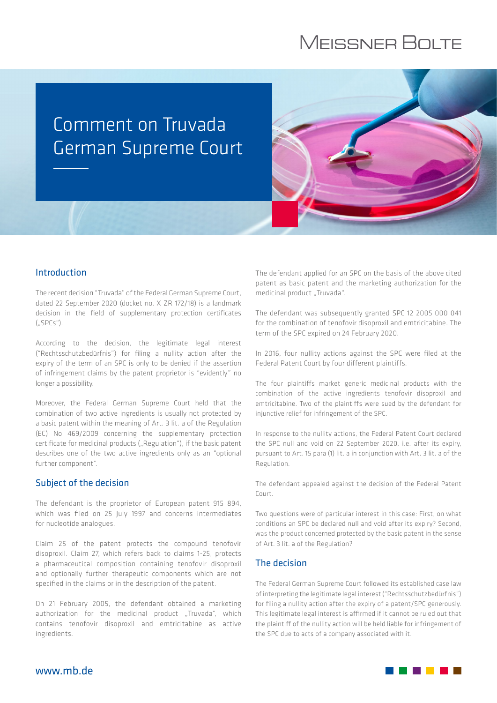# **MEISSNER BOLTE**

# Comment on Truvada German Supreme Court



#### Introduction

The recent decision "Truvada" of the Federal German Supreme Court, dated 22 September 2020 (docket no. X ZR 172/18) is a landmark decision in the field of supplementary protection certificates  $(.SPCs")$ .

According to the decision, the legitimate legal interest ("Rechtsschutzbedürfnis") for filing a nullity action after the expiry of the term of an SPC is only to be denied if the assertion of infringement claims by the patent proprietor is "evidently" no longer a possibility.

Moreover, the Federal German Supreme Court held that the combination of two active ingredients is usually not protected by a basic patent within the meaning of Art. 3 lit. a of the Regulation (EC) No 469/2009 concerning the supplementary protection certificate for medicinal products ("Regulation"), if the basic patent describes one of the two active ingredients only as an "optional further component".

#### Subject of the decision

The defendant is the proprietor of European patent 915 894, which was filed on 25 July 1997 and concerns intermediates for nucleotide analogues.

Claim 25 of the patent protects the compound tenofovir disoproxil. Claim 27, which refers back to claims 1-25, protects a pharmaceutical composition containing tenofovir disoproxil and optionally further therapeutic components which are not specified in the claims or in the description of the patent.

On 21 February 2005, the defendant obtained a marketing authorization for the medicinal product ..Truvada", which contains tenofovir disoproxil and emtricitabine as active ingredients.

The defendant applied for an SPC on the basis of the above cited patent as basic patent and the marketing authorization for the medicinal product "Truvada".

The defendant was subsequently granted SPC 12 2005 000 041 for the combination of tenofovir disoproxil and emtricitabine. The term of the SPC expired on 24 February 2020.

In 2016, four nullity actions against the SPC were filed at the Federal Patent Court by four different plaintiffs.

The four plaintiffs market generic medicinal products with the combination of the active ingredients tenofovir disoproxil and emtricitabine. Two of the plaintiffs were sued by the defendant for injunctive relief for infringement of the SPC.

In response to the nullity actions, the Federal Patent Court declared the SPC null and void on 22 September 2020, i.e. after its expiry, pursuant to Art. 15 para (1) lit. a in conjunction with Art. 3 lit. a of the Regulation.

The defendant appealed against the decision of the Federal Patent Court.

Two questions were of particular interest in this case: First, on what conditions an SPC be declared null and void after its expiry? Second, was the product concerned protected by the basic patent in the sense of Art. 3 lit. a of the Regulation?

#### The decision

The Federal German Supreme Court followed its established case law of interpreting the legitimate legal interest ("Rechtsschutzbedürfnis") for filing a nullity action after the expiry of a patent/SPC generously. This legitimate legal interest is affirmed if it cannot be ruled out that the plaintiff of the nullity action will be held liable for infringement of the SPC due to acts of a company associated with it.

www.mb.de